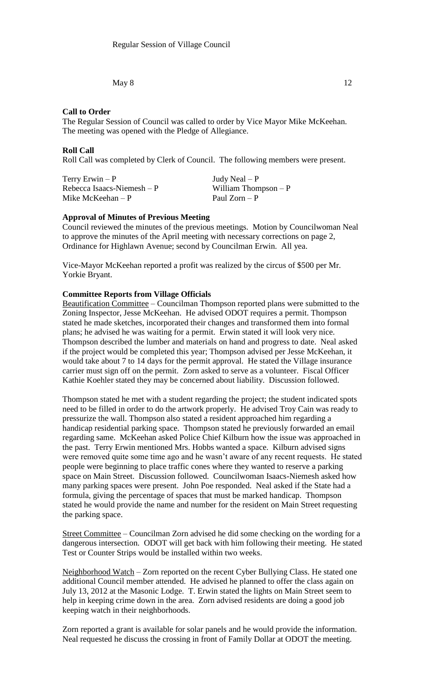May  $8$  12

## **Call to Order**

The Regular Session of Council was called to order by Vice Mayor Mike McKeehan. The meeting was opened with the Pledge of Allegiance.

#### **Roll Call**

Roll Call was completed by Clerk of Council. The following members were present.

| Terry Erwin $-P$            | Judy Neal $- P$       |
|-----------------------------|-----------------------|
| Rebecca Isaacs-Niemesh $-P$ | William Thompson $-P$ |
| Mike McKeehan $-P$          | Paul Zorn – P         |

# **Approval of Minutes of Previous Meeting**

Council reviewed the minutes of the previous meetings. Motion by Councilwoman Neal to approve the minutes of the April meeting with necessary corrections on page 2, Ordinance for Highlawn Avenue; second by Councilman Erwin. All yea.

Vice-Mayor McKeehan reported a profit was realized by the circus of \$500 per Mr. Yorkie Bryant.

## **Committee Reports from Village Officials**

Beautification Committee – Councilman Thompson reported plans were submitted to the Zoning Inspector, Jesse McKeehan. He advised ODOT requires a permit. Thompson stated he made sketches, incorporated their changes and transformed them into formal plans; he advised he was waiting for a permit. Erwin stated it will look very nice. Thompson described the lumber and materials on hand and progress to date. Neal asked if the project would be completed this year; Thompson advised per Jesse McKeehan, it would take about 7 to 14 days for the permit approval. He stated the Village insurance carrier must sign off on the permit. Zorn asked to serve as a volunteer. Fiscal Officer Kathie Koehler stated they may be concerned about liability. Discussion followed.

Thompson stated he met with a student regarding the project; the student indicated spots need to be filled in order to do the artwork properly. He advised Troy Cain was ready to pressurize the wall. Thompson also stated a resident approached him regarding a handicap residential parking space. Thompson stated he previously forwarded an email regarding same. McKeehan asked Police Chief Kilburn how the issue was approached in the past. Terry Erwin mentioned Mrs. Hobbs wanted a space. Kilburn advised signs were removed quite some time ago and he wasn't aware of any recent requests. He stated people were beginning to place traffic cones where they wanted to reserve a parking space on Main Street. Discussion followed. Councilwoman Isaacs-Niemesh asked how many parking spaces were present. John Poe responded. Neal asked if the State had a formula, giving the percentage of spaces that must be marked handicap. Thompson stated he would provide the name and number for the resident on Main Street requesting the parking space.

Street Committee – Councilman Zorn advised he did some checking on the wording for a dangerous intersection. ODOT will get back with him following their meeting. He stated Test or Counter Strips would be installed within two weeks.

Neighborhood Watch – Zorn reported on the recent Cyber Bullying Class. He stated one additional Council member attended. He advised he planned to offer the class again on July 13, 2012 at the Masonic Lodge. T. Erwin stated the lights on Main Street seem to help in keeping crime down in the area. Zorn advised residents are doing a good job keeping watch in their neighborhoods.

Zorn reported a grant is available for solar panels and he would provide the information. Neal requested he discuss the crossing in front of Family Dollar at ODOT the meeting.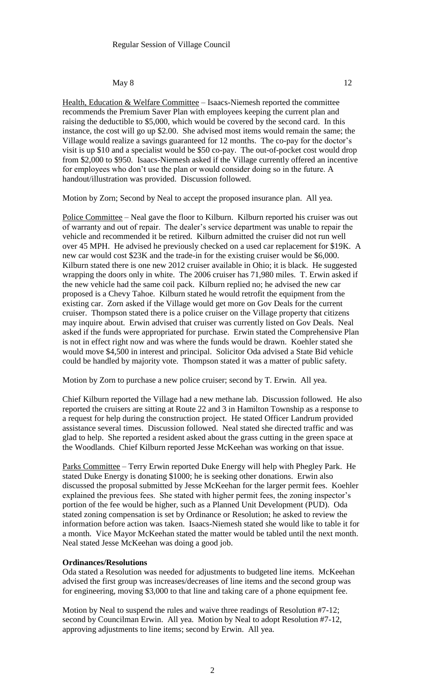#### May  $8$  12

Health, Education & Welfare Committee – Isaacs-Niemesh reported the committee recommends the Premium Saver Plan with employees keeping the current plan and raising the deductible to \$5,000, which would be covered by the second card. In this instance, the cost will go up \$2.00. She advised most items would remain the same; the Village would realize a savings guaranteed for 12 months. The co-pay for the doctor's visit is up \$10 and a specialist would be \$50 co-pay. The out-of-pocket cost would drop from \$2,000 to \$950. Isaacs-Niemesh asked if the Village currently offered an incentive for employees who don't use the plan or would consider doing so in the future. A handout/illustration was provided. Discussion followed.

Motion by Zorn; Second by Neal to accept the proposed insurance plan. All yea.

Police Committee – Neal gave the floor to Kilburn. Kilburn reported his cruiser was out of warranty and out of repair. The dealer's service department was unable to repair the vehicle and recommended it be retired. Kilburn admitted the cruiser did not run well over 45 MPH. He advised he previously checked on a used car replacement for \$19K. A new car would cost \$23K and the trade-in for the existing cruiser would be \$6,000. Kilburn stated there is one new 2012 cruiser available in Ohio; it is black. He suggested wrapping the doors only in white. The 2006 cruiser has 71,980 miles. T. Erwin asked if the new vehicle had the same coil pack. Kilburn replied no; he advised the new car proposed is a Chevy Tahoe. Kilburn stated he would retrofit the equipment from the existing car. Zorn asked if the Village would get more on Gov Deals for the current cruiser. Thompson stated there is a police cruiser on the Village property that citizens may inquire about. Erwin advised that cruiser was currently listed on Gov Deals. Neal asked if the funds were appropriated for purchase. Erwin stated the Comprehensive Plan is not in effect right now and was where the funds would be drawn. Koehler stated she would move \$4,500 in interest and principal. Solicitor Oda advised a State Bid vehicle could be handled by majority vote. Thompson stated it was a matter of public safety.

Motion by Zorn to purchase a new police cruiser; second by T. Erwin. All yea.

Chief Kilburn reported the Village had a new methane lab. Discussion followed. He also reported the cruisers are sitting at Route 22 and 3 in Hamilton Township as a response to a request for help during the construction project. He stated Officer Landrum provided assistance several times. Discussion followed. Neal stated she directed traffic and was glad to help. She reported a resident asked about the grass cutting in the green space at the Woodlands. Chief Kilburn reported Jesse McKeehan was working on that issue.

Parks Committee – Terry Erwin reported Duke Energy will help with Phegley Park. He stated Duke Energy is donating \$1000; he is seeking other donations. Erwin also discussed the proposal submitted by Jesse McKeehan for the larger permit fees. Koehler explained the previous fees. She stated with higher permit fees, the zoning inspector's portion of the fee would be higher, such as a Planned Unit Development (PUD). Oda stated zoning compensation is set by Ordinance or Resolution; he asked to review the information before action was taken. Isaacs-Niemesh stated she would like to table it for a month. Vice Mayor McKeehan stated the matter would be tabled until the next month. Neal stated Jesse McKeehan was doing a good job.

## **Ordinances/Resolutions**

Oda stated a Resolution was needed for adjustments to budgeted line items. McKeehan advised the first group was increases/decreases of line items and the second group was for engineering, moving \$3,000 to that line and taking care of a phone equipment fee.

Motion by Neal to suspend the rules and waive three readings of Resolution #7-12; second by Councilman Erwin. All yea. Motion by Neal to adopt Resolution #7-12, approving adjustments to line items; second by Erwin. All yea.